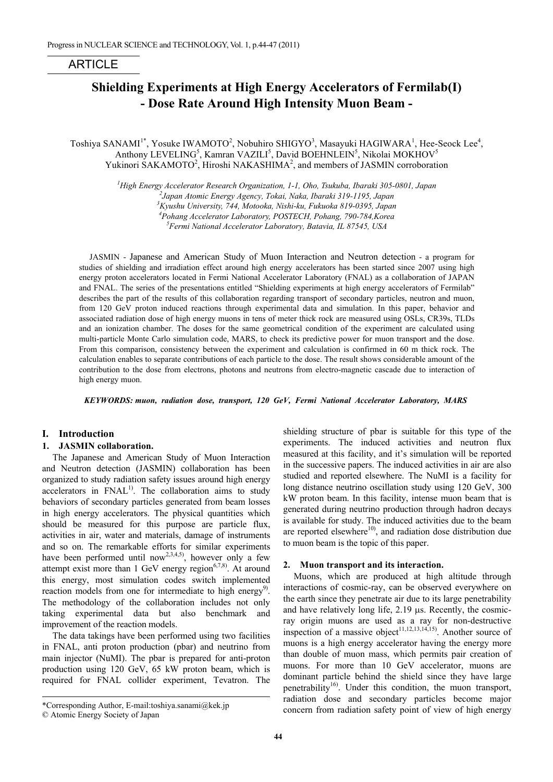## ARTICLE

# **Shielding Experiments at High Energy Accelerators of Fermilab(I) - Dose Rate Around High Intensity Muon Beam -**

Toshiya SANAMI<sup>1\*</sup>, Yosuke IWAMOTO<sup>2</sup>, Nobuhiro SHIGYO<sup>3</sup>, Masayuki HAGIWARA<sup>1</sup>, Hee-Seock Lee<sup>4</sup>, Anthony LEVELING<sup>5</sup>, Kamran VAZILI<sup>5</sup>, David BOEHNLEIN<sup>5</sup>, Nikolai MOKHOV<sup>5</sup> Yukinori SAKAMOTO<sup>2</sup>, Hiroshi NAKASHIMA<sup>2</sup>, and members of JASMIN corroboration

> *High Energy Accelerator Research Organization, 1-1, Oho, Tsukuba, Ibaraki 305-0801, Japan 2 Japan Atomic Energy Agency, Tokai, Naka, Ibaraki 319-1195, Japan Kyushu University, 744, Motooka, Nishi-ku, Fukuoka 819-0395, Japan Pohang Accelerator Laboratory, POSTECH, Pohang, 790-784,Korea Fermi National Accelerator Laboratory, Batavia, IL 87545, USA*

JASMIN - Japanese and American Study of Muon Interaction and Neutron detection - a program for studies of shielding and irradiation effect around high energy accelerators has been started since 2007 using high energy proton accelerators located in Fermi National Accelerator Laboratory (FNAL) as a collaboration of JAPAN and FNAL. The series of the presentations entitled "Shielding experiments at high energy accelerators of Fermilab" describes the part of the results of this collaboration regarding transport of secondary particles, neutron and muon, from 120 GeV proton induced reactions through experimental data and simulation. In this paper, behavior and associated radiation dose of high energy muons in tens of meter thick rock are measured using OSLs, CR39s, TLDs and an ionization chamber. The doses for the same geometrical condition of the experiment are calculated using multi-particle Monte Carlo simulation code, MARS, to check its predictive power for muon transport and the dose. From this comparison, consistency between the experiment and calculation is confirmed in 60 m thick rock. The calculation enables to separate contributions of each particle to the dose. The result shows considerable amount of the contribution to the dose from electrons, photons and neutrons from electro-magnetic cascade due to interaction of high energy muon.

*KEYWORDS: muon, radiation dose, transport, 120 GeV, Fermi National Accelerator Laboratory, MARS* 

## **I. Introduction<sup>1</sup>**

#### **1. JASMIN collaboration.**

The Japanese and American Study of Muon Interaction and Neutron detection (JASMIN) collaboration has been organized to study radiation safety issues around high energy accelerators in  $FNAL<sup>1</sup>$ . The collaboration aims to study behaviors of secondary particles generated from beam losses in high energy accelerators. The physical quantities which should be measured for this purpose are particle flux, activities in air, water and materials, damage of instruments and so on. The remarkable efforts for similar experiments have been performed until now<sup>2,3,4,5</sup>), however only a few attempt exist more than  $1 \text{ GeV}$  energy region<sup>6,7,8)</sup>. At around this energy, most simulation codes switch implemented reaction models from one for intermediate to high energy<sup>9)</sup>. The methodology of the collaboration includes not only taking experimental data but also benchmark and improvement of the reaction models.

The data takings have been performed using two facilities in FNAL, anti proton production (pbar) and neutrino from main injector (NuMI). The pbar is prepared for anti-proton production using 120 GeV, 65 kW proton beam, which is required for FNAL collider experiment, Tevatron. The

l

shielding structure of pbar is suitable for this type of the experiments. The induced activities and neutron flux measured at this facility, and it's simulation will be reported in the successive papers. The induced activities in air are also studied and reported elsewhere. The NuMI is a facility for long distance neutrino oscillation study using 120 GeV, 300 kW proton beam. In this facility, intense muon beam that is generated during neutrino production through hadron decays is available for study. The induced activities due to the beam are reported elsewhere<sup>10</sup>, and radiation dose distribution due to muon beam is the topic of this paper.

### **2. Muon transport and its interaction.**

Muons, which are produced at high altitude through interactions of cosmic-ray, can be observed everywhere on the earth since they penetrate air due to its large penetrability and have relatively long life,  $2.19 \mu s$ . Recently, the cosmicray origin muons are used as a ray for non-destructive inspection of a massive object<sup>11,12,13,14,15)</sup>. Another source of muons is a high energy accelerator having the energy more than double of muon mass, which permits pair creation of muons. For more than 10 GeV accelerator, muons are dominant particle behind the shield since they have large penetrability<sup>16</sup>. Under this condition, the muon transport, radiation dose and secondary particles become major concern from radiation safety point of view of high energy

<sup>\*</sup>Corresponding Author, E-mail:toshiya.sanami@kek.jp

<sup>©</sup> Atomic Energy Society of Japan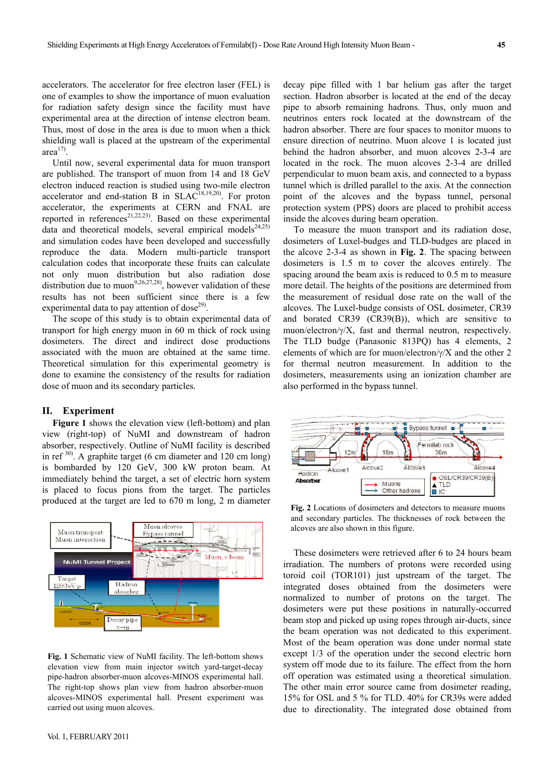accelerators. The accelerator for free electron laser (FEL) is one of examples to show the importance of muon evaluation for radiation safety design since the facility must have experimental area at the direction of intense electron beam. Thus, most of dose in the area is due to muon when a thick shielding wall is placed at the upstream of the experimental  $area<sup>17</sup>$ 

Until now, several experimental data for muon transport are published. The transport of muon from 14 and 18 GeV electron induced reaction is studied using two-mile electron accelerator and end-station B in  $SLAC^{18,19,20)}$ . For proton accelerator, the experiments at CERN and FNAL are reported in references<sup>21,22,23)</sup>. Based on these experimental data and theoretical models, several empirical models $24,25$ ) and simulation codes have been developed and successfully reproduce the data. Modern multi-particle transport calculation codes that incorporate these fruits can calculate not only muon distribution but also radiation dose distribution due to muon<sup>9,26,27,28)</sup>, however validation of these results has not been sufficient since there is a few experimental data to pay attention of dose $^{29}$ .

The scope of this study is to obtain experimental data of transport for high energy muon in 60 m thick of rock using dosimeters. The direct and indirect dose productions associated with the muon are obtained at the same time. Theoretical simulation for this experimental geometry is done to examine the consistency of the results for radiation dose of muon and its secondary particles.

### **II. Experiment**

**Figure 1** shows the elevation view (left-bottom) and plan view (right-top) of NuMI and downstream of hadron absorber, respectively. Outline of NuMI facility is described in ref  $30$ . A graphite target (6 cm diameter and 120 cm long) is bombarded by 120 GeV, 300 kW proton beam. At immediately behind the target, a set of electric horn system is placed to focus pions from the target. The particles produced at the target are led to 670 m long, 2 m diameter



**Fig. 1** Schematic view of NuMI facility. The left-bottom shows elevation view from main injector switch yard-target-decay pipe-hadron absorber-muon alcoves-MINOS experimental hall. The right-top shows plan view from hadron absorber-muon alcoves-MINOS experimental hall. Present experiment was carried out using muon alcoves.

decay pipe filled with 1 bar helium gas after the target section. Hadron absorber is located at the end of the decay pipe to absorb remaining hadrons. Thus, only muon and neutrinos enters rock located at the downstream of the hadron absorber. There are four spaces to monitor muons to ensure direction of neutrino. Muon alcove 1 is located just behind the hadron absorber, and muon alcoves 2-3-4 are located in the rock. The muon alcoves 2-3-4 are drilled perpendicular to muon beam axis, and connected to a bypass tunnel which is drilled parallel to the axis. At the connection point of the alcoves and the bypass tunnel, personal protection system (PPS) doors are placed to prohibit access inside the alcoves during beam operation.

To measure the muon transport and its radiation dose, dosimeters of Luxel-budges and TLD-budges are placed in the alcove 2-3-4 as shown in **Fig. 2**. The spacing between dosimeters is 1.5 m to cover the alcoves entirely. The spacing around the beam axis is reduced to 0.5 m to measure more detail. The heights of the positions are determined from the measurement of residual dose rate on the wall of the alcoves. The Luxel-budge consists of OSL dosimeter, CR39 and borated CR39 (CR39(B)), which are sensitive to muon/electron/ $\gamma$ /X, fast and thermal neutron, respectively. The TLD budge (Panasonic 813PQ) has 4 elements, 2 elements of which are for muon/electron/ $\gamma$ /X and the other 2 for thermal neutron measurement. In addition to the dosimeters, measurements using an ionization chamber are also performed in the bypass tunnel.



**Fig. 2** Locations of dosimeters and detectors to measure muons and secondary particles. The thicknesses of rock between the alcoves are also shown in this figure.

These dosimeters were retrieved after 6 to 24 hours beam irradiation. The numbers of protons were recorded using toroid coil (TOR101) just upstream of the target. The integrated doses obtained from the dosimeters were normalized to number of protons on the target. The dosimeters were put these positions in naturally-occurred beam stop and picked up using ropes through air-ducts, since the beam operation was not dedicated to this experiment. Most of the beam operation was done under normal state except 1/3 of the operation under the second electric horn system off mode due to its failure. The effect from the horn off operation was estimated using a theoretical simulation. The other main error source came from dosimeter reading, 15% for OSL and 5 % for TLD. 40% for CR39s were added due to directionality. The integrated dose obtained from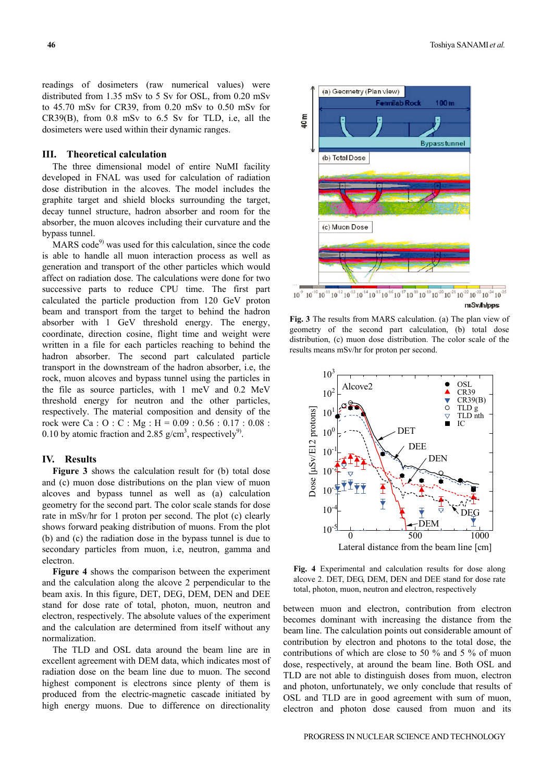readings of dosimeters (raw numerical values) were distributed from 1.35 mSv to 5 Sv for OSL, from 0.20 mSv to 45.70 mSv for CR39, from 0.20 mSv to 0.50 mSv for CR39(B), from 0.8 mSv to 6.5 Sv for TLD, i.e, all the dosimeters were used within their dynamic ranges.

#### **III. Theoretical calculation**

The three dimensional model of entire NuMI facility developed in FNAL was used for calculation of radiation dose distribution in the alcoves. The model includes the graphite target and shield blocks surrounding the target, decay tunnel structure, hadron absorber and room for the absorber, the muon alcoves including their curvature and the bypass tunnel.

 $MARS \text{ code}^{9}$  was used for this calculation, since the code is able to handle all muon interaction process as well as generation and transport of the other particles which would affect on radiation dose. The calculations were done for two successive parts to reduce CPU time. The first part calculated the particle production from 120 GeV proton beam and transport from the target to behind the hadron absorber with 1 GeV threshold energy. The energy, coordinate, direction cosine, flight time and weight were written in a file for each particles reaching to behind the hadron absorber. The second part calculated particle transport in the downstream of the hadron absorber, i.e, the rock, muon alcoves and bypass tunnel using the particles in the file as source particles, with 1 meV and 0.2 MeV threshold energy for neutron and the other particles, respectively. The material composition and density of the rock were Ca : O : C : Mg : H = 0.09 : 0.56 : 0.17 : 0.08 : 0.10 by atomic fraction and 2.85  $g/cm^3$ , respectively<sup>9</sup>.

### **IV. Results**

**Figure 3** shows the calculation result for (b) total dose and (c) muon dose distributions on the plan view of muon alcoves and bypass tunnel as well as (a) calculation geometry for the second part. The color scale stands for dose rate in mSv/hr for 1 proton per second. The plot (c) clearly shows forward peaking distribution of muons. From the plot (b) and (c) the radiation dose in the bypass tunnel is due to secondary particles from muon, i.e, neutron, gamma and electron.

**Figure 4** shows the comparison between the experiment and the calculation along the alcove 2 perpendicular to the beam axis. In this figure, DET, DEG, DEM, DEN and DEE stand for dose rate of total, photon, muon, neutron and electron, respectively. The absolute values of the experiment and the calculation are determined from itself without any normalization.

The TLD and OSL data around the beam line are in excellent agreement with DEM data, which indicates most of radiation dose on the beam line due to muon. The second highest component is electrons since plenty of them is produced from the electric-magnetic cascade initiated by high energy muons. Due to difference on directionality



mSv/h/pos

**Fig. 3** The results from MARS calculation. (a) The plan view of geometry of the second part calculation, (b) total dose distribution, (c) muon dose distribution. The color scale of the results means mSv/hr for proton per second.



**Fig. 4** Experimental and calculation results for dose along alcove 2. DET, DEG, DEM, DEN and DEE stand for dose rate total, photon, muon, neutron and electron, respectively

between muon and electron, contribution from electron becomes dominant with increasing the distance from the beam line. The calculation points out considerable amount of contribution by electron and photons to the total dose, the contributions of which are close to 50 % and 5 % of muon dose, respectively, at around the beam line. Both OSL and TLD are not able to distinguish doses from muon, electron and photon, unfortunately, we only conclude that results of OSL and TLD are in good agreement with sum of muon, electron and photon dose caused from muon and its